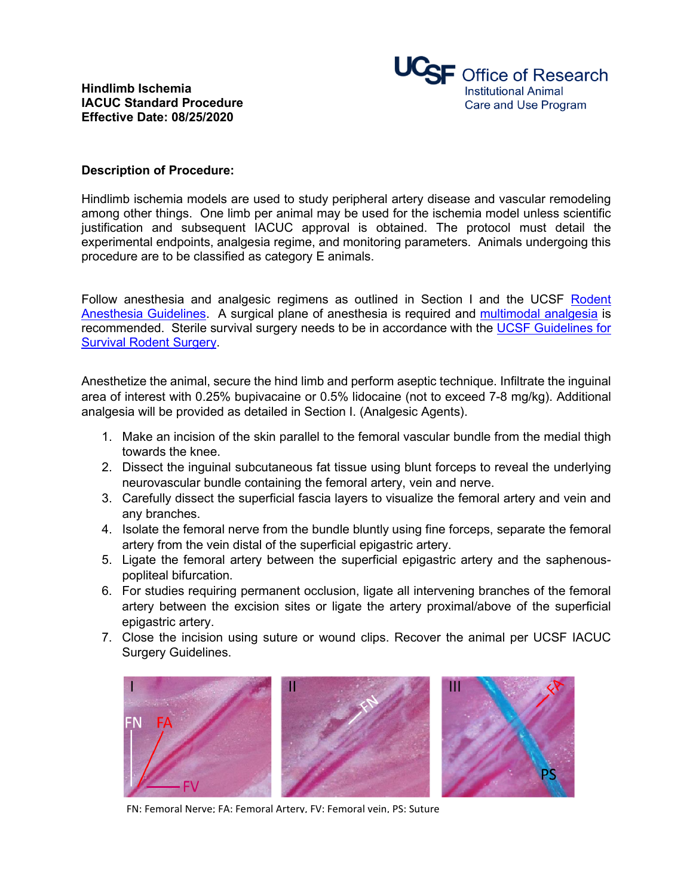

## **Description of Procedure:**

Hindlimb ischemia models are used to study peripheral artery disease and vascular remodeling among other things. One limb per animal may be used for the ischemia model unless scientific justification and subsequent IACUC approval is obtained. The protocol must detail the experimental endpoints, analgesia regime, and monitoring parameters. Animals undergoing this procedure are to be classified as category E animals.

Follow anesthesia and analgesic regimens as outlined in Section I and the UCSF Rodent Anesthesia Guidelines. A surgical plane of anesthesia is required and multimodal analgesia is recommended. Sterile survival surgery needs to be in accordance with the UCSF Guidelines for Survival Rodent Surgery.

Anesthetize the animal, secure the hind limb and perform aseptic technique. Infiltrate the inguinal area of interest with 0.25% bupivacaine or 0.5% lidocaine (not to exceed 7-8 mg/kg). Additional analgesia will be provided as detailed in Section I. (Analgesic Agents).

- 1. Make an incision of the skin parallel to the femoral vascular bundle from the medial thigh towards the knee.
- 2. Dissect the inguinal subcutaneous fat tissue using blunt forceps to reveal the underlying neurovascular bundle containing the femoral artery, vein and nerve.
- 3. Carefully dissect the superficial fascia layers to visualize the femoral artery and vein and any branches.
- 4. Isolate the femoral nerve from the bundle bluntly using fine forceps, separate the femoral artery from the vein distal of the superficial epigastric artery.
- 5. Ligate the femoral artery between the superficial epigastric artery and the saphenouspopliteal bifurcation.
- 6. For studies requiring permanent occlusion, ligate all intervening branches of the femoral artery between the excision sites or ligate the artery proximal/above of the superficial epigastric artery.
- 7. Close the incision using suture or wound clips. Recover the animal per UCSF IACUC Surgery Guidelines.



FN: Femoral Nerve; FA: Femoral Artery, FV: Femoral vein, PS: Suture